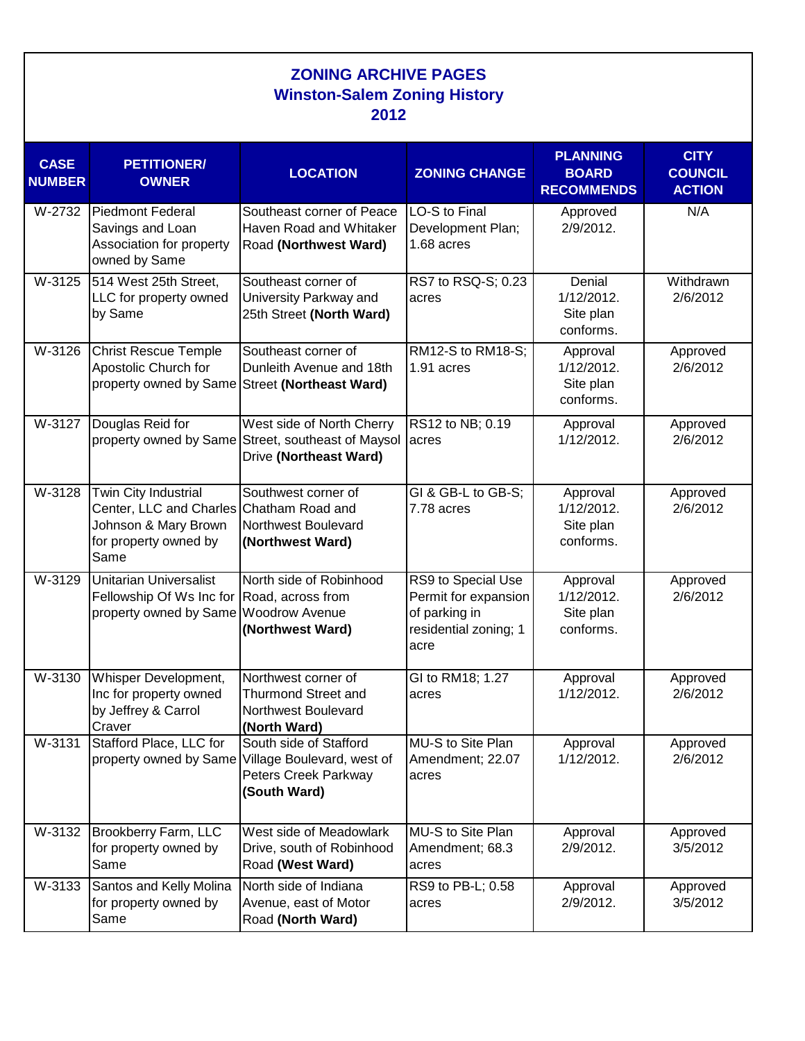## **ZONING ARCHIVE PAGES Winston-Salem Zoning History 2012**

| <b>CASE</b><br><b>NUMBER</b> | <b>PETITIONER/</b><br><b>OWNER</b>                                                                                        | <b>LOCATION</b>                                                                                                     | <b>ZONING CHANGE</b>                                                                         | <b>PLANNING</b><br><b>BOARD</b><br><b>RECOMMENDS</b> | <b>CITY</b><br><b>COUNCIL</b><br><b>ACTION</b> |
|------------------------------|---------------------------------------------------------------------------------------------------------------------------|---------------------------------------------------------------------------------------------------------------------|----------------------------------------------------------------------------------------------|------------------------------------------------------|------------------------------------------------|
| W-2732                       | <b>Piedmont Federal</b><br>Savings and Loan<br>Association for property<br>owned by Same                                  | Southeast corner of Peace<br><b>Haven Road and Whitaker</b><br>Road (Northwest Ward)                                | LO-S to Final<br>Development Plan;<br>1.68 acres                                             | Approved<br>2/9/2012.                                | N/A                                            |
| $W-3125$                     | 514 West 25th Street,<br>LLC for property owned<br>by Same                                                                | Southeast corner of<br>University Parkway and<br>25th Street (North Ward)                                           | RS7 to RSQ-S; 0.23<br>acres                                                                  | Denial<br>1/12/2012.<br>Site plan<br>conforms.       | Withdrawn<br>2/6/2012                          |
| W-3126                       | <b>Christ Rescue Temple</b><br>Apostolic Church for                                                                       | Southeast corner of<br>Dunleith Avenue and 18th<br>property owned by Same Street (Northeast Ward)                   | RM12-S to RM18-S;<br>1.91 acres                                                              | Approval<br>1/12/2012.<br>Site plan<br>conforms.     | Approved<br>2/6/2012                           |
| W-3127                       | Douglas Reid for                                                                                                          | West side of North Cherry<br>property owned by Same Street, southeast of Maysol<br>Drive (Northeast Ward)           | RS12 to NB; 0.19<br>acres                                                                    | Approval<br>1/12/2012.                               | Approved<br>2/6/2012                           |
| W-3128                       | Twin City Industrial<br>Center, LLC and Charles Chatham Road and<br>Johnson & Mary Brown<br>for property owned by<br>Same | Southwest corner of<br>Northwest Boulevard<br>(Northwest Ward)                                                      | GI & GB-L to GB-S;<br>7.78 acres                                                             | Approval<br>1/12/2012.<br>Site plan<br>conforms.     | Approved<br>2/6/2012                           |
| W-3129                       | <b>Unitarian Universalist</b><br>Fellowship Of Ws Inc for Road, across from<br>property owned by Same Woodrow Avenue      | North side of Robinhood<br>(Northwest Ward)                                                                         | RS9 to Special Use<br>Permit for expansion<br>of parking in<br>residential zoning; 1<br>acre | Approval<br>1/12/2012.<br>Site plan<br>conforms.     | Approved<br>2/6/2012                           |
| W-3130                       | Whisper Development,<br>Inc for property owned<br>by Jeffrey & Carrol<br>Craver                                           | Northwest corner of<br><b>Thurmond Street and</b><br>Northwest Boulevard<br>(North Ward)                            | GI to RM18; 1.27<br>acres                                                                    | Approval<br>1/12/2012.                               | Approved<br>2/6/2012                           |
| W-3131                       | Stafford Place, LLC for                                                                                                   | South side of Stafford<br>property owned by Same Village Boulevard, west of<br>Peters Creek Parkway<br>(South Ward) | MU-S to Site Plan<br>Amendment; 22.07<br>acres                                               | Approval<br>1/12/2012.                               | Approved<br>2/6/2012                           |
| W-3132                       | Brookberry Farm, LLC<br>for property owned by<br>Same                                                                     | West side of Meadowlark<br>Drive, south of Robinhood<br>Road (West Ward)                                            | MU-S to Site Plan<br>Amendment; 68.3<br>acres                                                | Approval<br>2/9/2012.                                | Approved<br>3/5/2012                           |
| W-3133                       | Santos and Kelly Molina<br>for property owned by<br>Same                                                                  | North side of Indiana<br>Avenue, east of Motor<br>Road (North Ward)                                                 | RS9 to PB-L; 0.58<br>acres                                                                   | Approval<br>2/9/2012.                                | Approved<br>3/5/2012                           |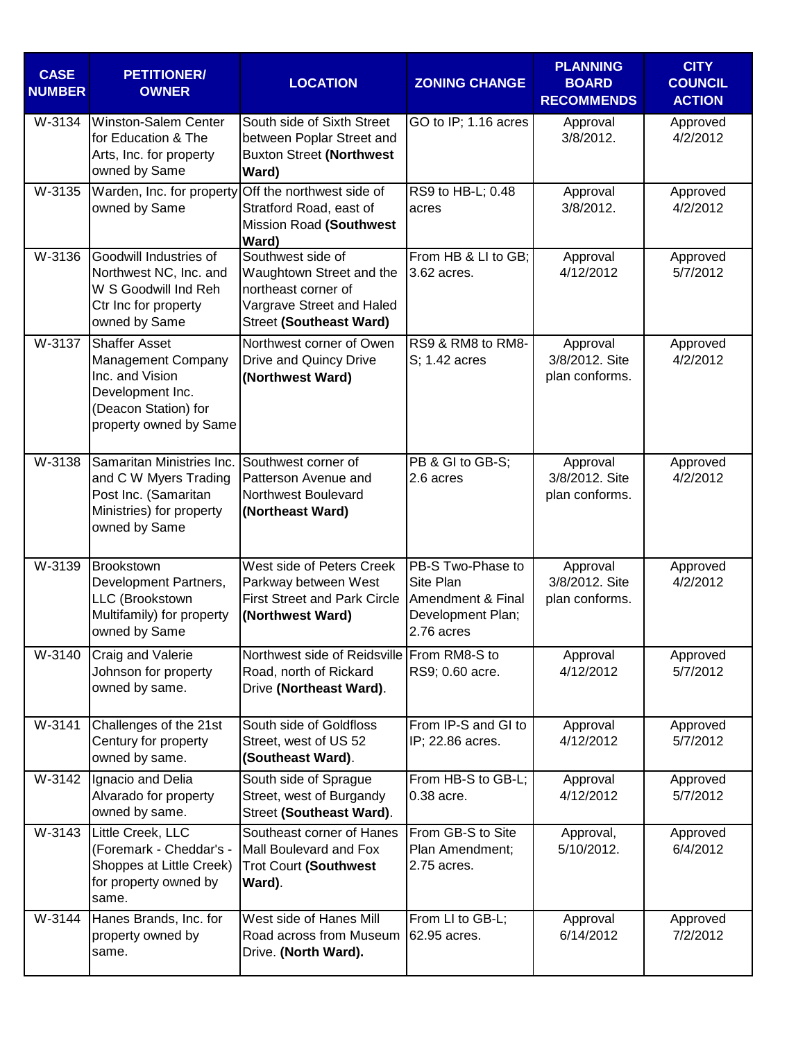| <b>CASE</b><br><b>NUMBER</b> | <b>PETITIONER/</b><br><b>OWNER</b>                                                                                                         | <b>LOCATION</b>                                                                                                                     | <b>ZONING CHANGE</b>                                                                   | <b>PLANNING</b><br><b>BOARD</b><br><b>RECOMMENDS</b> | <b>CITY</b><br><b>COUNCIL</b><br><b>ACTION</b> |
|------------------------------|--------------------------------------------------------------------------------------------------------------------------------------------|-------------------------------------------------------------------------------------------------------------------------------------|----------------------------------------------------------------------------------------|------------------------------------------------------|------------------------------------------------|
| W-3134                       | <b>Winston-Salem Center</b><br>for Education & The<br>Arts, Inc. for property<br>owned by Same                                             | South side of Sixth Street<br>between Poplar Street and<br><b>Buxton Street (Northwest</b><br>Ward)                                 | GO to IP; 1.16 acres                                                                   | Approval<br>3/8/2012.                                | Approved<br>4/2/2012                           |
| W-3135                       | Warden, Inc. for property<br>owned by Same                                                                                                 | Off the northwest side of<br>Stratford Road, east of<br><b>Mission Road (Southwest</b><br>Ward)                                     | RS9 to HB-L; 0.48<br>acres                                                             | Approval<br>3/8/2012.                                | Approved<br>4/2/2012                           |
| W-3136                       | Goodwill Industries of<br>Northwest NC, Inc. and<br>W S Goodwill Ind Reh<br>Ctr Inc for property<br>owned by Same                          | Southwest side of<br>Waughtown Street and the<br>northeast corner of<br>Vargrave Street and Haled<br><b>Street (Southeast Ward)</b> | From HB & LI to GB;<br>3.62 acres.                                                     | Approval<br>4/12/2012                                | Approved<br>5/7/2012                           |
| W-3137                       | <b>Shaffer Asset</b><br><b>Management Company</b><br>Inc. and Vision<br>Development Inc.<br>(Deacon Station) for<br>property owned by Same | Northwest corner of Owen<br>Drive and Quincy Drive<br>(Northwest Ward)                                                              | RS9 & RM8 to RM8-<br>S; 1.42 acres                                                     | Approval<br>3/8/2012. Site<br>plan conforms.         | Approved<br>4/2/2012                           |
| W-3138                       | Samaritan Ministries Inc.<br>and C W Myers Trading<br>Post Inc. (Samaritan<br>Ministries) for property<br>owned by Same                    | Southwest corner of<br>Patterson Avenue and<br>Northwest Boulevard<br>(Northeast Ward)                                              | PB & GI to GB-S;<br>2.6 acres                                                          | Approval<br>3/8/2012. Site<br>plan conforms.         | Approved<br>4/2/2012                           |
| W-3139                       | Brookstown<br>Development Partners,<br>LLC (Brookstown<br>Multifamily) for property<br>owned by Same                                       | West side of Peters Creek<br>Parkway between West<br><b>First Street and Park Circle</b><br>(Northwest Ward)                        | PB-S Two-Phase to<br>Site Plan<br>Amendment & Final<br>Development Plan;<br>2.76 acres | Approval<br>3/8/2012. Site<br>plan conforms.         | Approved<br>4/2/2012                           |
| W-3140                       | Craig and Valerie<br>Johnson for property<br>owned by same.                                                                                | Northwest side of Reidsville From RM8-S to<br>Road, north of Rickard<br>Drive (Northeast Ward).                                     | RS9; 0.60 acre.                                                                        | Approval<br>4/12/2012                                | Approved<br>5/7/2012                           |
| W-3141                       | Challenges of the 21st<br>Century for property<br>owned by same.                                                                           | South side of Goldfloss<br>Street, west of US 52<br>(Southeast Ward).                                                               | From IP-S and GI to<br>IP; 22.86 acres.                                                | Approval<br>4/12/2012                                | Approved<br>5/7/2012                           |
| $W-3142$                     | Ignacio and Delia<br>Alvarado for property<br>owned by same.                                                                               | South side of Sprague<br>Street, west of Burgandy<br>Street (Southeast Ward).                                                       | From HB-S to GB-L;<br>0.38 acre.                                                       | Approval<br>4/12/2012                                | Approved<br>5/7/2012                           |
| W-3143                       | Little Creek, LLC<br>(Foremark - Cheddar's -<br>Shoppes at Little Creek)<br>for property owned by<br>same.                                 | Southeast corner of Hanes<br>Mall Boulevard and Fox<br>Trot Court (Southwest<br>Ward).                                              | From GB-S to Site<br>Plan Amendment;<br>2.75 acres.                                    | Approval,<br>5/10/2012.                              | Approved<br>6/4/2012                           |
| W-3144                       | Hanes Brands, Inc. for<br>property owned by<br>same.                                                                                       | West side of Hanes Mill<br>Road across from Museum<br>Drive. (North Ward).                                                          | From LI to GB-L;<br>62.95 acres.                                                       | Approval<br>6/14/2012                                | Approved<br>7/2/2012                           |